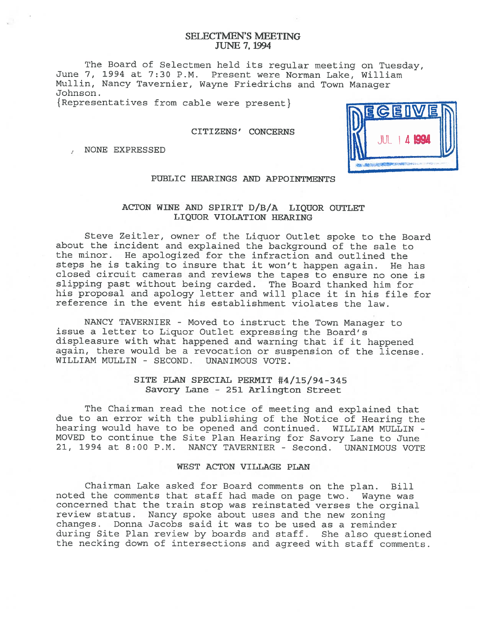# SELECTMEN'S MEETING JUNE 7, 1994

The Board of Selectmen held its regular meeting on Tuesday, June 7, 1994 at 7:30 P.M. Present were Norman Lake, William Mullin, Nancy Tavernier, Wayne Friedrichs and Town Manager Johnson.

{ Representatives from cable were present}

## CITIZENS' CONCERNS

, NONE EXPRESSED



# PUBLIC HEARINGS AND APPOINTMENTS

# ACTON WINE AND SPIRIT D/B/A LIQUOR OUTLET LIQUOR VIOLATION HEARING

Steve Zeitler, owner of the Liquor Outlet spoke to the Board about the incident and explained the background of the sale to the minor. He apologized for the infraction and outlined the steps he is taking to insure that it won't happen again. He has closed circuit cameras and reviews the tapes to ensure no one is slipping pas<sup>t</sup> without being carded. The Board thanked him for his proposa<sup>l</sup> and apology letter and will <sup>p</sup>lace it in his file for reference in the event his establishment violates the law.

NANCY TAVERNIER - Moved to instruct the Town Manager to issue <sup>a</sup> letter to Liquor Outlet expressing the Board's displeasure with what happened and warning that if it happened again, there would be <sup>a</sup> revocation or suspension of the license. WILLIAM MULLIN - SECOND. UNANIMOUS VOTE.

# SITE PLAN SPECIAL PERMIT #4/15/94-345 Savory Lane -251 Arlington Street

The Chairman read the notice of meeting and explained that due to an error with the publishing of the Notice of Hearing the hearing would have to be opened and continued. WILLIAM MULLIN - MOVED to continue the Site Plan Hearing for Savory Lane to June 21, 1994 at 8:00 P.M. NANCY TAVERNIER - Second. UNANIMOUS VOTE

# WEST ACTON VILLAGE PLAN

Chairman Lake asked for Board comments on the <sup>p</sup>lan. Bill noted the comments that staff had made on page two. Wayne was concerned that the train stop was reinstated verses the orginal review status. Nancy spoke about uses and the new zoning changes. Donna Jacobs said it was to be used as <sup>a</sup> reminder during Site Plan review by boards and staff. She also questioned the necking down of intersections and agreed with staff comments.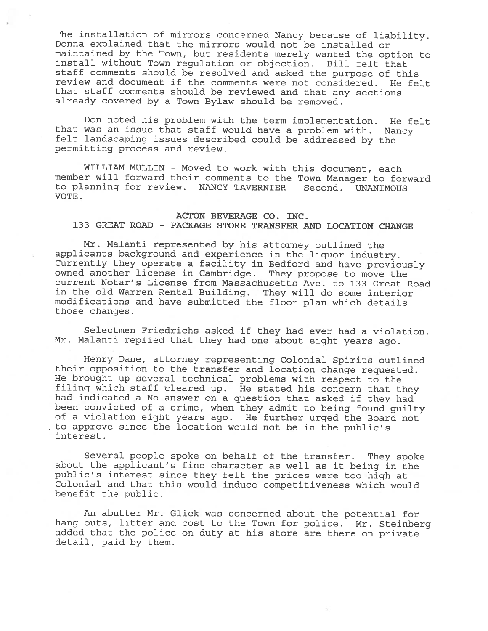The installation of mirrors concerned Nancy because of liability. Donna explained that the mirrors would not be installed or maintained by the Town, but residents merely wanted the option to install without Town regulation or objection. Bill felt that staff comments should be resolved and asked the purpose of this review and document if the comments were not considered. He felt that staff comments should be reviewed and that any sections already covered by <sup>a</sup> Town Bylaw should be removed.

Don noted his problem with the term implementation. He felt that was an issue that staff would have <sup>a</sup> problem with. Nancy felt landscaping issues described could be addressed by the permitting process and review.

WILLIAM MULLIN - Moved to work with this document, each member will forward their comments to the Town Manager to forward to planning for review. NANCY TAVERNIER - Second. UNANIMOUS VOTE.

# ACTON BEVERAGE CO. INC. 133 GREAT ROAD - PACKAGE STORE TRANSFER AND LOCATION CHANGE

Mr. Malanti represented by his attorney outlined the applicants background and experience in the liquor industry. Currently they operate <sup>a</sup> facility in Bedford and have previously owned another license in Cambridge. They propose to move the current Notar's License from Massachusetts Ave. to 133 Great Road in the old Warren Rental Building. They will do some interior modifications and have submitted the floor <sup>p</sup>lan which details those changes.

Selectmen Friedrichs asked if they had ever had <sup>a</sup> violation. Mr. Malanti replied that they had one about eight years ago.

Henry Dane, attorney representing Colonial Spirits outlined their opposition to the transfer and location change requested. He brought up several technical problems with respect to the filing which staff cleared up. He stated his concern that they had indicated <sup>a</sup> No answer on <sup>a</sup> question that asked if they had been convicted of <sup>a</sup> crime, when they admit to being found guilty of <sup>a</sup> violation eight years ago. He further urged the Board not to approve since the location would not be in the public's interest.

Several people spoke on behalf of the transfer. They spoke about the applicant's fine character as well as it being in the public's interest since they felt the prices were too high at Colonial and that this would induce competitiveness which would benefit the public.

An abutter Mr. Glick was concerned about the potential for hang outs, litter and cost to the Town for police. Mr. Steinberg added that the police on duty at his store are there on private detail, paid by them.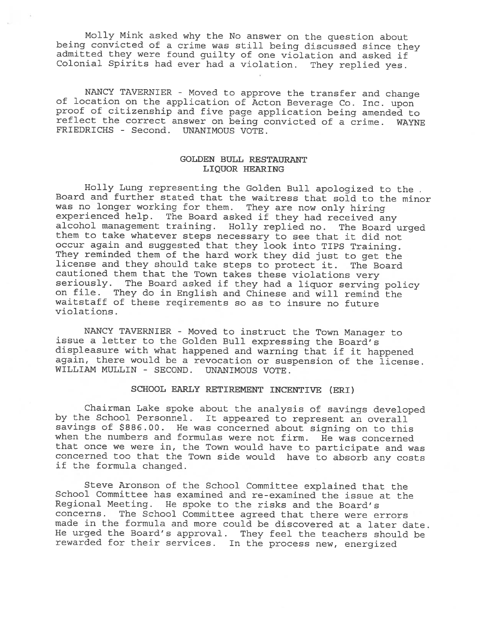Molly Mink asked why the No answer on the question about being convicted of a crime was still being discussed since they admitted they were found guilty of one violation and asked if Colonial Spirits had ever had <sup>a</sup> violation. They replied yes.

NANCY TAVERNIER - Moved to approve the transfer and change of location on the application of Acton Beverage Co. Inc. upon proof of citizenship and five page application being amended to reflect the correct answer on being convicted of <sup>a</sup> crime. WAYNE FRIEDRICHS - Second. UNANIMOUS VOTE.

# GOLDEN BULL RESTAURANT LIQUOR HEARING

Holly Lung representing the Golden Bull apologized to the Board and further stated that the waitress that sold to the minor was no longer working for them. They are now only hiring<br>experienced help. The Board asked if they had received any alcohol management training. Holly replied no. The Board urged<br>them to take whatever steps necessary to see that it did not<br>occur again and suggested that they look into TIPS Training. occur again and suggested that they look into TIPS Training. They reminded them of the hard work they did just to get the license and they should take steps to protect it. The Board cautioned them that the Town takes these violations very seriously. The Board asked if they had <sup>a</sup> liquor serving policy on file. They do in English and Chinese and will remind the waitstaff of these reqirements so as to insure no future violations.

NANCY TAVERNIER - Moved to instruct the Town Manager to issue <sup>a</sup> letter to the Golden Bull expressing the Board's displeasure with what happened and warning that if it happened again, there would be <sup>a</sup> revocation or suspension of the license. WILLIAM MULLIN - SECOND. UNANIMOUS VOTE.

## SCHOOL EARLY RETIREMENT INCENTIVE (ERI)

Chairman Lake spoke about the analysis of savings developed by the School Personnel. It appeared to represent an overall savings of \$886.00. He was concerned about signing on to this when the numbers and formulas were not firm. He was concerned that once we were in, the Town would have to participate and was concerned too that the Town side would have to absorb any costs if the formula changed.

Steve Aronson of the School Committee explained that the School Committee has examined and re-examined the issue at the Regional Meeting. He spoke to the risks and the Board's concerns. The School Committee agreed that there were errors made in the formula and more could be discovered at <sup>a</sup> later date. He urged the Board's approval. They feel the teachers should be rewarded for their services. In the process new, energized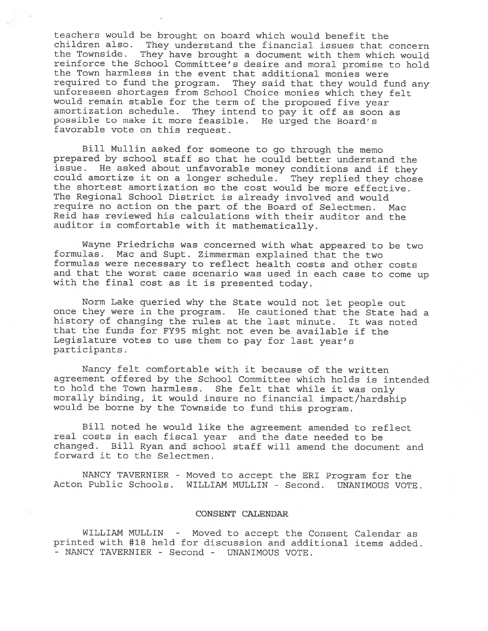teachers would be brought on board which would benefit the children also. They understand the financial issues that concern the Townside. They have brought <sup>a</sup> document with them which would reinforce the School Committee's desire and moral promise to hold the Town harmless in the event that additional monies were required to fund the program. They said that they would fund any unforeseen shortages from School Choice monies which they felt would remain stable for the term of the propose<sup>d</sup> five year amortization schedule. They intend to pay it off as soon as possible to make it more feasible. He urge<sup>d</sup> the Board's favorable vote on this request.

Bill Mullin asked for someone to go through the memo prepared by school staff so that he could better understand the issue. He asked about unfavorable money conditions and if they could amortize it on <sup>a</sup> longer schedule. They replied they chose the shortest amortization so the cost would be more effective. The Regional School District is already involved and would require no action on the part of the Board of Selectmen. Mac Reid has reviewed his calculations with their auditor and the auditor is comfortable with it mathematically.

Wayne Friedrichs was concerned with what appeared to be two<br>formulas. Mac and Supt. Zimmerman explained that the two Mac and Supt. Zimmerman explained that the two formulas were necessary to reflect health costs and other costs and that the worst case scenario was used in each case to come up with the final cost as it is presented today.

Norm Lake queried why the State would not let people out once they were in the program. He cautioned that the State had <sup>a</sup> history of changing the rules at the last minute. It was noted that the funds for FY95 might not even be available if the Legislature votes to use them to pay for last year's participants.

Nancy felt comfortable with it because of the written agreemen<sup>t</sup> offered by the School Committee which holds is intended to hold the Town harmless. She felt that while it was only morally binding, it would insure no financial impact/hardship would be borne by the Townside to fund this program.

Bill noted he would like the agreemen<sup>t</sup> amended to reflect real costs in each fiscal year and the date needed to be changed. Bill Ryan and school staff will amend the document and forward it to the Selectmen.

NANCY TAVERNIER - Moved to accep<sup>t</sup> the ERI Program for the Acton Public Schools. WILLIAM MULLIN - Second. UNANIMOUS VOTE.

#### CONSENT CALENDAR

WILLIAM MULLIN - Moved to accep<sup>t</sup> the Consent Calendar as printed with #18 held for discussion and additional items added. - NANCY TAVERNIER - Second - UNANIMOUS VOTE.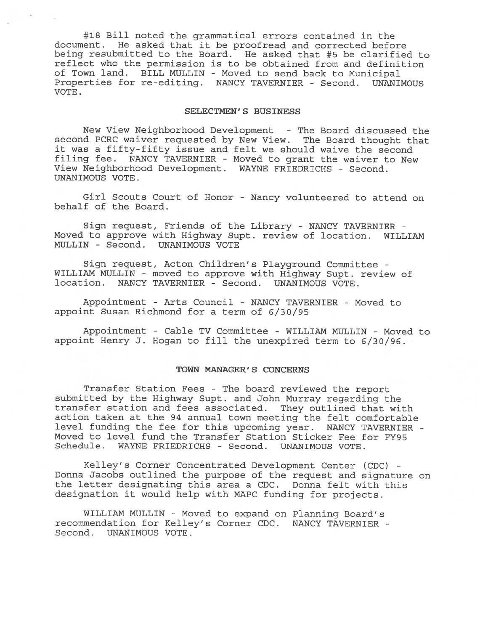#18 Bill noted the grammatical errors contained in the document. He asked that it be proofread and corrected before being resubmitted to the Board. He asked that #5 be clarified to reflect who the permission is to be obtained from and definition of Town land. BILL MULLIN - Moved to send back to Municipal Properties for re-editing. NANCY TAVERNIER - Second. UNANIMOUS VOTE.

### SELECTMEN'S BUSINESS

New View Neighborhood Development - The Board discussed the second PCRC waiver requested by New View. The Board thought that it was <sup>a</sup> fifty-fifty issue and felt we should waive the second filing fee. NANCY TAVERNIER - Moved to gran<sup>t</sup> the waiver to New View Neighborhood Development. WAYNE FRIEDRICHS - Second. UNANIMOUS VOTE.

Girl Scouts Court of Honor - Nancy volunteered to attend on behalf of the Board.

Sign request, Friends of the Library - NANCY TAVERNIER - Moved to approve with Highway Supt. review of location. WILLIAM MULLIN - Second. UNANIMOUS VOTE

Sign request, Acton Children's Playground Committee - WILLIAM MULLIN - moved to approve with Highway Supt. review of location. NANCY TAVERNIER - Second. UNANIMOUS VOTE.

Appointment -Arts Council - NANCY TAVERNIER - Moved to appoint Susan Richmond for <sup>a</sup> term of 6/30/95

Appointment - Cable TV Committee - WILLIAM MULLIN - Moved to appoint Henry J. Hogan to fill the unexpired term to 6/30/96.

## TOWN MANAGER'S CONCERNS

Transfer Station Fees - The board reviewed the repor<sup>t</sup> submitted by the Highway Supt. and John Murray regarding the transfer station and fees associated. They outlined that with action taken at the 94 annual town meeting the felt comfortable level funding the fee for this upcoming year. NANCY TAVERNIER - Moved to level fund the Transfer Station Sticker Fee for FY95 Schedule. WAYNE FRIEDRICHS - Second. UNANIMOUS VOTE.

Kelley's Corner Concentrated Development Center (CDC) - Donna Jacobs outlined the purpose of the reques<sup>t</sup> and signature on the letter designating this area <sup>a</sup> CDC. Donna felt with this designation it would help with MAPC funding for projects.

WILLIAM MULLIN - Moved to expand on Planning Board's recommendation for Kelley's Corner CDC. NANCY TAVERNIER - Second. UNANIMOUS VOTE.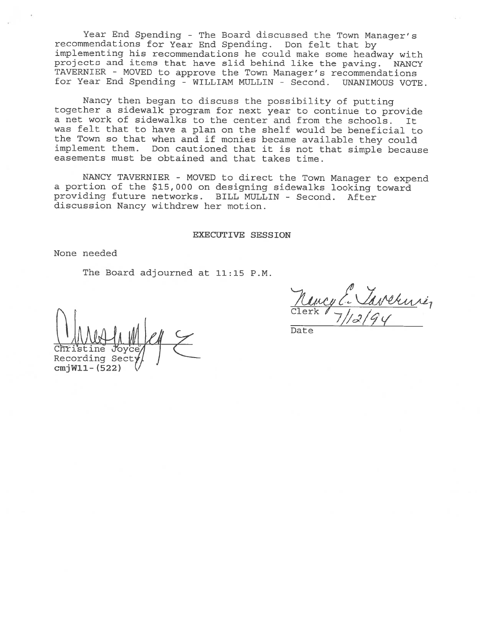Year End Spending - The Board discussed the Town Manager's recommendations for Year End Spending. Don felt that by implementing his recommendations he could make some headway with projects and items that have slid behind like the paving. NANCY TAVERNIER - MOVED to approve the Town Manager's recommendations for Year End Spending - WILLIAM MULLIN - Second. UNANIMOUS VOTE.

Nancy then began to discuss the possibility of putting together <sup>a</sup> sidewalk program for next year to continue to provide <sup>a</sup> net work of sidewalks to the center and from the schools. It was felt that to have <sup>a</sup> <sup>p</sup>lan on the shelf would be beneficial to the Town so that when and if monies became available they could implement them. Don cautioned that it is not that simple because easements must be obtained and that takes time.

NANCY TAVERNIER - MOVED to direct the Town Manager to expend <sup>a</sup> portion of the \$15,000 on designing sidewalks looking toward providing future networks. BILL MULLIN - Second. After discussion Nancy withdrew her motion.

#### EXECUTIVE SESSION

None needed

The Board adjourned at 11:15 P.M.

Chris Recording Sec  $cm$  $jW11 - (522)$ 

Clerk *l* \_ /

— Date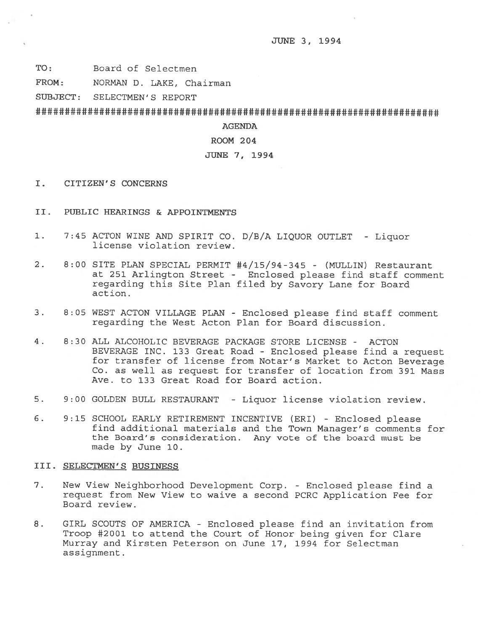TO: Board of Selectmen

FROM: NORMAN D. LAKE, Chairman

SUBJECT: SELECTMEN'S REPORT

###################################################lt##################

# AGENDA

#### ROOM 204

# JUNE 7, 1994

- I. CITIZEN'S CONCERNS
- II. PUBLIC HEARINGS & APPOINTMENTS
- 1. 7:45 ACTON WINE AND SPIRIT CO. D/3/A LIQUOR OUTLET Liquor license violation review.
- 2. 8:00 SITE PLAN SPECIAL PERMIT #4/15/94-345 (MULLIN) Restaurant at <sup>251</sup> Arlington Street - Enclosed <sup>p</sup>lease find staff comment regarding this Site Plan filed by Savory Lane for Board action.
- 3. 8:05 WEST ACTON VILLAGE PLAN Enclosed <sup>p</sup>lease find staff comment regarding the West Acton Plan for Board discussion.
- 4. 8:30 ALL ALCOHOLIC BEVERAGE PACKAGE STORE LICENSE ACTON BEVERAGE INC. <sup>133</sup> Great Road -Enclosed <sup>p</sup>lease find <sup>a</sup> reques<sup>t</sup> for transfer of license from Notar's Market to Acton Beverage Co. as well as reques<sup>t</sup> for transfer of location from 391 Mass Ave. to 133 Great Road for Board action.
- 5. 9:00 GOLDEN BULL RESTAURANT Liquor license violation review.
- 6. 9:15 SCHOOL EARLY RETIREMENT INCENTIVE (ERI) Enclosed <sup>p</sup>lease find additional materials and the Town Manager's comments for the Board's consideration. Any vote of the board must be made by June 10.

#### III. SELECTMEN'S BUSINESS

- 7. New View Neighborhood Development Corp. Enclosed please find a reques<sup>t</sup> from New View to waive <sup>a</sup> second PCRC Application Fee for Board review.
- 8. GIRL SCOUTS OF AMERICA Enclosed please find an invitation from Troop #2001 to attend the Court of Honor being given for Clare Murray and Kirsten Peterson on June 17, 1994 for Selectman assignment.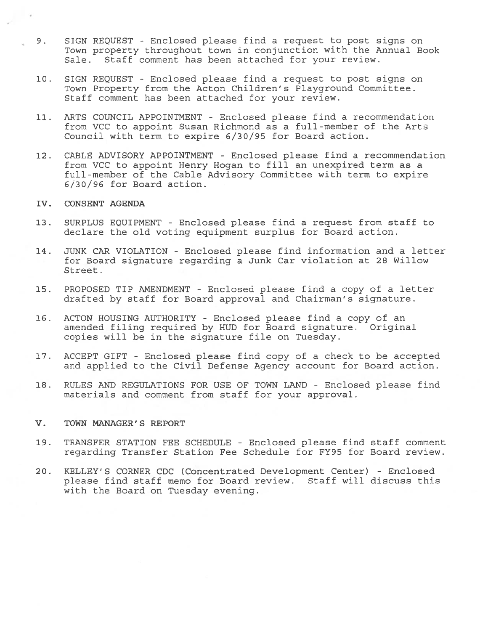- 9. SIGN REQUEST Enclosed please find <sup>a</sup> reques<sup>t</sup> to pos<sup>t</sup> signs on Town property throughout town in conjunction with the Annual Book Sale. Staff comment has been attached for your review.
- 10. SIGN REQUEST Enclosed please find <sup>a</sup> reques<sup>t</sup> to pos<sup>t</sup> signs on Town Property from the Acton Children's Playground Committee. Staff comment has been attached for your review.
- 11. ARTS COUNCIL APPOINTMENT Enclosed please find <sup>a</sup> recommendation from VCC to appoint Susan Richmond as <sup>a</sup> full-member of the Arts Council with term to expire 6/30/95 for Board action.
- 12. CABLE ADVISORY APPOINTMENT Enclosed please find <sup>a</sup> recommendation from VCC to appoint Henry Hogan to fill an unexpired term as <sup>a</sup> full-member of the Cable Advisory Committee with term to expire 6/30/96 for Board action.
- IV. CONSENT AGENDA
- 13. SURPLUS EQUIPMENT Enclosed please find <sup>a</sup> reques<sup>t</sup> from staff to declare the old voting equipment surplus for Board action.
- 14. JUNK CAR VIOLATION Enclosed please find information and <sup>a</sup> letter for Board signature regarding <sup>a</sup> Junk Car violation at 28 Willow Street.
- 15. PROPOSED TIP AMENDMENT Enclosed please find <sup>a</sup> copy of <sup>a</sup> letter drafted by staff for Board approval and Chairman's signature.
- 16. ACTON HOUSING AUTHORITY Enclosed please find <sup>a</sup> copy of an amended filing required by HUD for Board signature. Original copies will be in the signature file on Tuesday.
- 17. ACCEPT GIFT Enclosed please find copy of <sup>a</sup> check to be accepted and applied to the Civil Defense Agency account for Board action.
- 18. RULES AND REGULATIONS FOR USE OF TOWN LAND Enclosed please find materials and comment from staff for your approval.
- V. TOWN MANAGER'S REPORT
- 19. TRANSFER STATION FEE SCHEDULE Enclosed please find staff comment regarding Transfer Station Fee Schedule for FY95 for Board review.
- 20. KELLEY'S CORNER CDC (Concentrated Development Center) Enclosed please find staff memo for Board review. Staff will discuss this with the Board on Tuesday evening.